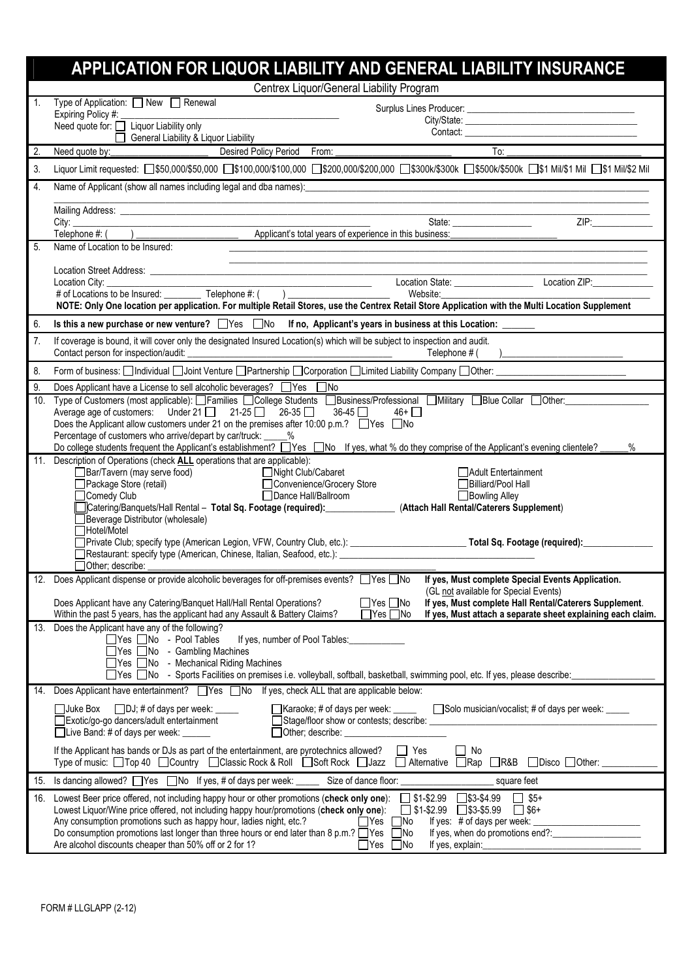|           | APPLICATION FOR LIQUOR LIABILITY AND GENERAL LIABILITY INSURANCE                                                                                                                                                                                                                                                               |  |  |  |  |  |  |  |
|-----------|--------------------------------------------------------------------------------------------------------------------------------------------------------------------------------------------------------------------------------------------------------------------------------------------------------------------------------|--|--|--|--|--|--|--|
|           | Centrex Liquor/General Liability Program                                                                                                                                                                                                                                                                                       |  |  |  |  |  |  |  |
| 1.        | Type of Application: □ New □ Renewal                                                                                                                                                                                                                                                                                           |  |  |  |  |  |  |  |
|           | Need quote for: $\frac{m}{\prod_{i=1}^{n} L_i}$ Liquor Liability only<br>Contact:<br>General Liability & Liquor Liability                                                                                                                                                                                                      |  |  |  |  |  |  |  |
| 2.        | $\overline{\phantom{a}}$ To: _<br>Need quote by: <u>Consumer Constantine Desired Policy Period</u> From:                                                                                                                                                                                                                       |  |  |  |  |  |  |  |
| 3.        | Liquor Limit requested: [350,000/\$50,000 [3100,000/\$100,000 [3200,000/\$200,000 [3300k/\$300k [3500k/\$500k [351 Mil/\$1 Mil [31 Mil/\$2 Mil                                                                                                                                                                                 |  |  |  |  |  |  |  |
| 4.        | Name of Applicant (show all names including legal and dba names): entitled and the state of Applicant (show all names including legal and dba names):                                                                                                                                                                          |  |  |  |  |  |  |  |
|           | <u> 1980 - Johann John Stein, market fan it ferskearre fan it ferskearre fan it ferskearre fan it ferskearre fan i</u>                                                                                                                                                                                                         |  |  |  |  |  |  |  |
|           | ZIP:                                                                                                                                                                                                                                                                                                                           |  |  |  |  |  |  |  |
| 5.        | Name of Location to be Insured:                                                                                                                                                                                                                                                                                                |  |  |  |  |  |  |  |
|           |                                                                                                                                                                                                                                                                                                                                |  |  |  |  |  |  |  |
|           |                                                                                                                                                                                                                                                                                                                                |  |  |  |  |  |  |  |
|           | Website:<br>NOTE: Only One location per application. For multiple Retail Stores, use the Centrex Retail Store Application with the Multi Location Supplement                                                                                                                                                                   |  |  |  |  |  |  |  |
| 6.        | Is this a new purchase or new venture? $\Box$ Yes $\Box$ No If no, Applicant's years in business at this Location: $\Box$                                                                                                                                                                                                      |  |  |  |  |  |  |  |
| 7.        | If coverage is bound, it will cover only the designated Insured Location(s) which will be subject to inspection and audit.                                                                                                                                                                                                     |  |  |  |  |  |  |  |
|           | Telephone # (                                                                                                                                                                                                                                                                                                                  |  |  |  |  |  |  |  |
| 8.        | Form of business: [all ndividual and Joint Venture and Partnership and Corporation and Limited Liability Company and Other: [2011] [30] Form and School and School and School and School and School and School and School and                                                                                                  |  |  |  |  |  |  |  |
| 9.<br>10. | Does Applicant have a License to sell alcoholic beverages? □ Yes □ No<br>Type of Customers (most applicable): □Families □College Students □Business/Professional □Military □Blue Collar □Other:                                                                                                                                |  |  |  |  |  |  |  |
|           | Average age of customers: Under 21 $\Box$ 21-25 $\Box$ 26-35 $\Box$ 36-45 $\Box$<br>$46+$ $\Box$                                                                                                                                                                                                                               |  |  |  |  |  |  |  |
|           | Does the Applicant allow customers under 21 on the premises after 10:00 p.m.? □ Yes □ No<br>Percentage of customers who arrive/depart by car/truck: _____%                                                                                                                                                                     |  |  |  |  |  |  |  |
|           | Do college students frequent the Applicant's establishment? Nes No If yes, what % do they comprise of the Applicant's evening clientele?<br>$\%$                                                                                                                                                                               |  |  |  |  |  |  |  |
|           | 11. Description of Operations (check ALL operations that are applicable):<br><b>I</b> Adult Entertainment                                                                                                                                                                                                                      |  |  |  |  |  |  |  |
|           | Billiard/Pool Hall                                                                                                                                                                                                                                                                                                             |  |  |  |  |  |  |  |
|           | □ Dance Hall/Ballroom<br>□ Bowling Alley<br>Comedy Club<br>Tcatering/Banquets/Hall Rental - Total Sq. Footage (required): (Attach Hall Rental/Caterers Supplement)                                                                                                                                                             |  |  |  |  |  |  |  |
|           | Beverage Distributor (wholesale)                                                                                                                                                                                                                                                                                               |  |  |  |  |  |  |  |
|           | Hotel/Motel                                                                                                                                                                                                                                                                                                                    |  |  |  |  |  |  |  |
|           |                                                                                                                                                                                                                                                                                                                                |  |  |  |  |  |  |  |
|           | $\Box$ Other; describe: $\_$<br>12. Does Applicant dispense or provide alcoholic beverages for off-premises events? Ves No If yes, Must complete Special Events Application.                                                                                                                                                   |  |  |  |  |  |  |  |
|           | (GL not available for Special Events)                                                                                                                                                                                                                                                                                          |  |  |  |  |  |  |  |
|           | If yes, Must complete Hall Rental/Caterers Supplement.<br>$\Box$ Yes $\Box$ No<br>Does Applicant have any Catering/Banquet Hall/Hall Rental Operations?<br>If yes, Must attach a separate sheet explaining each claim.<br>Within the past 5 years, has the applicant had any Assault & Battery Claims?<br>$\Box$ Yes $\Box$ No |  |  |  |  |  |  |  |
|           | 13. Does the Applicant have any of the following?                                                                                                                                                                                                                                                                              |  |  |  |  |  |  |  |
|           | $\Box$ Yes $\Box$ No - Pool Tables<br>If yes, number of Pool Tables:<br>□Yes □No - Gambling Machines                                                                                                                                                                                                                           |  |  |  |  |  |  |  |
|           | □ Yes □ No - Mechanical Riding Machines                                                                                                                                                                                                                                                                                        |  |  |  |  |  |  |  |
|           | □Yes □No - Sports Facilities on premises i.e. volleyball, softball, basketball, swimming pool, etc. If yes, please describe:<br>14. Does Applicant have entertainment? Ves No If yes, check ALL that are applicable below:                                                                                                     |  |  |  |  |  |  |  |
|           | □ Karaoke; # of days per week: □ □ Solo musician/vocalist; # of days per week:<br>□ Juke Box<br>$\Box$ DJ; # of days per week: $\Box$                                                                                                                                                                                          |  |  |  |  |  |  |  |
|           | Exotic/go-go dancers/adult entertainment                                                                                                                                                                                                                                                                                       |  |  |  |  |  |  |  |
|           | □Live Band: # of days per week: ______                                                                                                                                                                                                                                                                                         |  |  |  |  |  |  |  |
|           | $\Box$ Yes<br>If the Applicant has bands or DJs as part of the entertainment, are pyrotechnics allowed?<br>$\Box$ No<br>Type of music: □Top 40 □Country □Classic Rock & Roll □Soft Rock □Jazz □ Alternative □Rap □R&B □Disco □Other: _                                                                                         |  |  |  |  |  |  |  |
| 15.       | Is dancing allowed? □ Yes □ No If yes, # of days per week: _____<br>Size of dance floor:<br>square feet                                                                                                                                                                                                                        |  |  |  |  |  |  |  |
| 16.       | Lowest Beer price offered, not including happy hour or other promotions (check only one):<br>$\Box$ \$1-\$2.99 $\Box$ \$3-\$4.99<br>$\Box$ \$5+                                                                                                                                                                                |  |  |  |  |  |  |  |
|           | $\square$ \$3-\$5.99<br>Lowest Liquor/Wine price offered, not including happy hour/promotions (check only one):<br>$\Box$ \$1-\$2.99<br>$\Box$ \$6+<br>Any consumption promotions such as happy hour, ladies night, etc.?                                                                                                      |  |  |  |  |  |  |  |
|           | If yes: # of days per week:<br>l Yes<br>$\Box$ No<br>Do consumption promotions last longer than three hours or end later than 8 p.m.? $\Box$ Yes<br>$\square$ No                                                                                                                                                               |  |  |  |  |  |  |  |
|           | Are alcohol discounts cheaper than 50% off or 2 for 1?<br>$\Box$ Yes<br>$\Box$ No<br>If yes, explain:                                                                                                                                                                                                                          |  |  |  |  |  |  |  |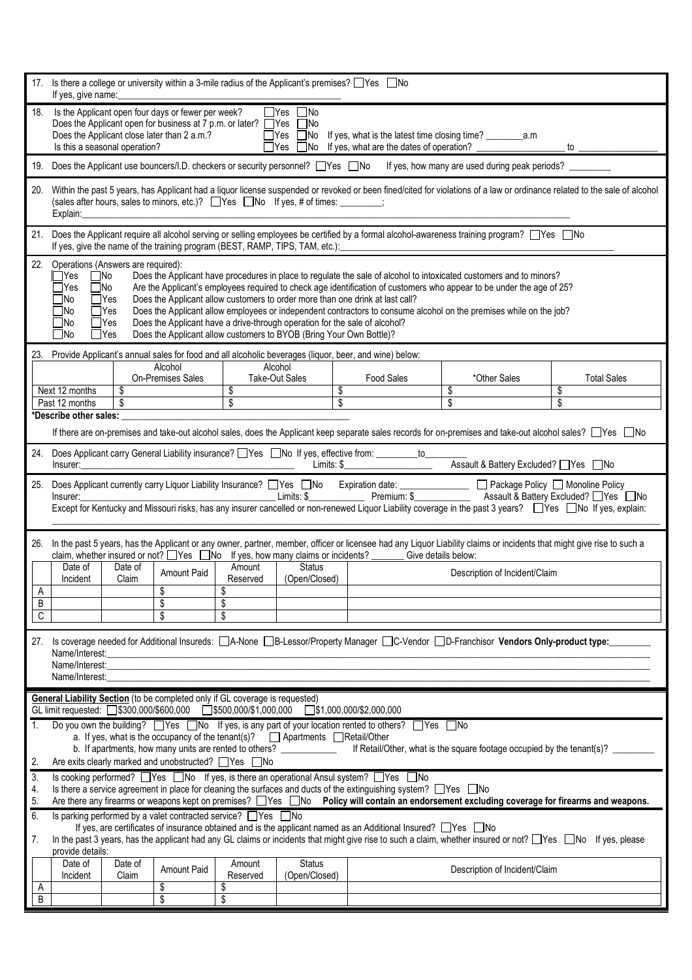|          | 17. Is there a college or university within a 3-mile radius of the Applicant's premises? Ves No<br>If yes, give name:                                                                                                                                                                                                                                                                                                                                                                                                                                                                                                                                                                                                                                                                                              |                                                                                                                                 |                                                                              |                                                           |                                |                                                                                                                      |                               |                                                                                                                                    |                    |  |
|----------|--------------------------------------------------------------------------------------------------------------------------------------------------------------------------------------------------------------------------------------------------------------------------------------------------------------------------------------------------------------------------------------------------------------------------------------------------------------------------------------------------------------------------------------------------------------------------------------------------------------------------------------------------------------------------------------------------------------------------------------------------------------------------------------------------------------------|---------------------------------------------------------------------------------------------------------------------------------|------------------------------------------------------------------------------|-----------------------------------------------------------|--------------------------------|----------------------------------------------------------------------------------------------------------------------|-------------------------------|------------------------------------------------------------------------------------------------------------------------------------|--------------------|--|
| 18.      | Is the Applicant open four days or fewer per week?<br>$\Box$ Yes $\Box$ No<br>Does the Applicant open for business at 7 p.m. or later? $\Box$ Yes<br>l INo<br>Does the Applicant close later than 2 a.m.?<br>Is this a seasonal operation?<br>$\Box$ Yes<br>□No If yes, what are the dates of operation?<br>to $\equiv$                                                                                                                                                                                                                                                                                                                                                                                                                                                                                            |                                                                                                                                 |                                                                              |                                                           |                                |                                                                                                                      |                               |                                                                                                                                    |                    |  |
|          |                                                                                                                                                                                                                                                                                                                                                                                                                                                                                                                                                                                                                                                                                                                                                                                                                    | 19. Does the Applicant use bouncers/I.D. checkers or security personnel? TYes No If yes, how many are used during peak periods? |                                                                              |                                                           |                                |                                                                                                                      |                               |                                                                                                                                    |                    |  |
| 20.      | Within the past 5 years, has Applicant had a liquor license suspended or revoked or been fined/cited for violations of a law or ordinance related to the sale of alcohol<br>(sales after hours, sales to minors, etc.)? □ Yes □ No If yes, # of times: _______;<br>Explain:                                                                                                                                                                                                                                                                                                                                                                                                                                                                                                                                        |                                                                                                                                 |                                                                              |                                                           |                                |                                                                                                                      |                               |                                                                                                                                    |                    |  |
|          | 21. Does the Applicant require all alcohol serving or selling employees be certified by a formal alcohol-awareness training program? □ Yes □ No<br>If yes, give the name of the training program (BEST, RAMP, TIPS, TAM, etc.):                                                                                                                                                                                                                                                                                                                                                                                                                                                                                                                                                                                    |                                                                                                                                 |                                                                              |                                                           |                                |                                                                                                                      |                               |                                                                                                                                    |                    |  |
|          | 22. Operations (Answers are required):<br>$\Box$ Yes<br>$\square$ No<br>Does the Applicant have procedures in place to regulate the sale of alcohol to intoxicated customers and to minors?<br>$\square$ No<br>Are the Applicant's employees required to check age identification of customers who appear to be under the age of 25?<br>$\sqcap$ Yes<br>$\Box$ Yes<br>Does the Applicant allow customers to order more than one drink at last call?<br>⊤No<br>$\Box$ Yes<br>Does the Applicant allow employees or independent contractors to consume alcohol on the premises while on the job?<br>- INo<br>$\Box$ Yes<br>Does the Applicant have a drive-through operation for the sale of alcohol?<br><b>No</b><br>Does the Applicant allow customers to BYOB (Bring Your Own Bottle)?<br>$\Box$ Yes<br>$\Box$ No |                                                                                                                                 |                                                                              |                                                           |                                |                                                                                                                      |                               |                                                                                                                                    |                    |  |
| 23.      |                                                                                                                                                                                                                                                                                                                                                                                                                                                                                                                                                                                                                                                                                                                                                                                                                    |                                                                                                                                 | Alcohol                                                                      |                                                           | Alcohol                        | Provide Applicant's annual sales for food and all alcoholic beverages (liquor, beer, and wine) below:                |                               |                                                                                                                                    |                    |  |
|          |                                                                                                                                                                                                                                                                                                                                                                                                                                                                                                                                                                                                                                                                                                                                                                                                                    |                                                                                                                                 | On-Premises Sales                                                            |                                                           | Take-Out Sales                 | <b>Food Sales</b>                                                                                                    |                               | *Other Sales                                                                                                                       | <b>Total Sales</b> |  |
|          | Next 12 months<br>Past 12 months                                                                                                                                                                                                                                                                                                                                                                                                                                                                                                                                                                                                                                                                                                                                                                                   | $\overline{\$}$<br>$\overline{\mathcal{S}}$                                                                                     |                                                                              | $\overline{\boldsymbol{\mathfrak{s}}}$<br>$\overline{\$}$ |                                | \$<br>$\overline{\$}$                                                                                                |                               | \$<br>\$                                                                                                                           | \$<br>\$           |  |
|          | *Describe other sales:                                                                                                                                                                                                                                                                                                                                                                                                                                                                                                                                                                                                                                                                                                                                                                                             |                                                                                                                                 |                                                                              |                                                           |                                |                                                                                                                      |                               |                                                                                                                                    |                    |  |
|          | If there are on-premises and take-out alcohol sales, does the Applicant keep separate sales records for on-premises and take-out alcohol sales? □ Yes □ No                                                                                                                                                                                                                                                                                                                                                                                                                                                                                                                                                                                                                                                         |                                                                                                                                 |                                                                              |                                                           |                                |                                                                                                                      |                               |                                                                                                                                    |                    |  |
| 24.      | Does Applicant carry General Liability insurance? Ness No If yes, effective from: _________to______<br>Assault & Battery Excluded? □ Yes □ No<br>Limits: \$<br>Insurer:<br><u> 1980 - Jan Barnett, fransk kongresu og den forske politiker og den forske politiker og den forske politiker</u>                                                                                                                                                                                                                                                                                                                                                                                                                                                                                                                     |                                                                                                                                 |                                                                              |                                                           |                                |                                                                                                                      |                               |                                                                                                                                    |                    |  |
| 25.      | Does Applicant currently carry Liquor Liability Insurance? Nes No Expiration date: No Expiration date: Deackage Policy Nonoline Policy<br><u>Limits: \$</u> Premium: \$ Assault & Battery Excluded? UYes UNo<br>Insurer:<br>Except for Kentucky and Missouri risks, has any insurer cancelled or non-renewed Liquor Liability coverage in the past 3 years? No lf yes, explain:                                                                                                                                                                                                                                                                                                                                                                                                                                    |                                                                                                                                 |                                                                              |                                                           |                                |                                                                                                                      |                               |                                                                                                                                    |                    |  |
| 26.      | In the past 5 years, has the Applicant or any owner, partner, member, officer or licensee had any Liquor Liability claims or incidents that might give rise to such a                                                                                                                                                                                                                                                                                                                                                                                                                                                                                                                                                                                                                                              |                                                                                                                                 |                                                                              |                                                           |                                |                                                                                                                      |                               |                                                                                                                                    |                    |  |
|          | Date of<br>Incident                                                                                                                                                                                                                                                                                                                                                                                                                                                                                                                                                                                                                                                                                                                                                                                                | Date of<br>Claim                                                                                                                | Amount Paid                                                                  | Amount<br>Reserved                                        | <b>Status</b><br>(Open/Closed) | claim, whether insured or not? $\Box$ Yes $\Box$ No If yes, how many claims or incidents? $\Box$ Give details below: |                               | Description of Incident/Claim                                                                                                      |                    |  |
| A        |                                                                                                                                                                                                                                                                                                                                                                                                                                                                                                                                                                                                                                                                                                                                                                                                                    |                                                                                                                                 | \$                                                                           | \$                                                        |                                |                                                                                                                      |                               |                                                                                                                                    |                    |  |
| B<br>C   |                                                                                                                                                                                                                                                                                                                                                                                                                                                                                                                                                                                                                                                                                                                                                                                                                    |                                                                                                                                 | \$<br>\$                                                                     | \$<br>\$                                                  |                                |                                                                                                                      |                               |                                                                                                                                    |                    |  |
|          |                                                                                                                                                                                                                                                                                                                                                                                                                                                                                                                                                                                                                                                                                                                                                                                                                    |                                                                                                                                 |                                                                              |                                                           |                                |                                                                                                                      |                               |                                                                                                                                    |                    |  |
|          | Name/Interest:                                                                                                                                                                                                                                                                                                                                                                                                                                                                                                                                                                                                                                                                                                                                                                                                     |                                                                                                                                 |                                                                              |                                                           |                                |                                                                                                                      |                               | 27. Is coverage needed for Additional Insureds: A-None B-Lessor/Property Manager C-Vendor OD-Franchisor Vendors Only-product type: |                    |  |
|          | Name/Interest:                                                                                                                                                                                                                                                                                                                                                                                                                                                                                                                                                                                                                                                                                                                                                                                                     |                                                                                                                                 | <u> 1989 - Johann Stoff, amerikansk politiker (* 1908)</u>                   |                                                           |                                |                                                                                                                      |                               |                                                                                                                                    |                    |  |
|          | Name/Interest:                                                                                                                                                                                                                                                                                                                                                                                                                                                                                                                                                                                                                                                                                                                                                                                                     |                                                                                                                                 |                                                                              |                                                           |                                |                                                                                                                      |                               |                                                                                                                                    |                    |  |
|          |                                                                                                                                                                                                                                                                                                                                                                                                                                                                                                                                                                                                                                                                                                                                                                                                                    |                                                                                                                                 | General Liability Section (to be completed only if GL coverage is requested) |                                                           |                                | $\Box$ \$1,000,000/\$2,000,000                                                                                       |                               |                                                                                                                                    |                    |  |
| 1.       |                                                                                                                                                                                                                                                                                                                                                                                                                                                                                                                                                                                                                                                                                                                                                                                                                    |                                                                                                                                 |                                                                              |                                                           |                                |                                                                                                                      |                               |                                                                                                                                    |                    |  |
|          | Do you own the building? $\Box$ Yes $\Box$ No If yes, is any part of your location rented to others? $\Box$ Yes $\Box$ No<br>a. If yes, what is the occupancy of the tenant(s)? $\Box$ Apartments $\Box$ Retail/Other                                                                                                                                                                                                                                                                                                                                                                                                                                                                                                                                                                                              |                                                                                                                                 |                                                                              |                                                           |                                |                                                                                                                      |                               |                                                                                                                                    |                    |  |
| 2.       | b. If apartments, how many units are rented to others? ____________<br>If Retail/Other, what is the square footage occupied by the tenant(s)?<br>Are exits clearly marked and unobstructed? □ Yes □ No                                                                                                                                                                                                                                                                                                                                                                                                                                                                                                                                                                                                             |                                                                                                                                 |                                                                              |                                                           |                                |                                                                                                                      |                               |                                                                                                                                    |                    |  |
| 3.       |                                                                                                                                                                                                                                                                                                                                                                                                                                                                                                                                                                                                                                                                                                                                                                                                                    |                                                                                                                                 |                                                                              |                                                           |                                | Is cooking performed? □Yes □No If yes, is there an operational Ansul system? □Yes □No                                |                               |                                                                                                                                    |                    |  |
| 4.<br>5. | Is there a service agreement in place for cleaning the surfaces and ducts of the extinguishing system? $\Box$ Yes $\Box$ No<br>Are there any firearms or weapons kept on premises? Nessan Dolicy will contain an endorsement excluding coverage for firearms and weapons.                                                                                                                                                                                                                                                                                                                                                                                                                                                                                                                                          |                                                                                                                                 |                                                                              |                                                           |                                |                                                                                                                      |                               |                                                                                                                                    |                    |  |
| 6.       |                                                                                                                                                                                                                                                                                                                                                                                                                                                                                                                                                                                                                                                                                                                                                                                                                    |                                                                                                                                 | Is parking performed by a valet contracted service? □ Yes □ No               |                                                           |                                |                                                                                                                      |                               |                                                                                                                                    |                    |  |
| 7.       | If yes, are certificates of insurance obtained and is the applicant named as an Additional Insured? $\Box$ Yes $\Box$ No<br>In the past 3 years, has the applicant had any GL claims or incidents that might give rise to such a claim, whether insured or not? Wes No If yes, please<br>provide details:                                                                                                                                                                                                                                                                                                                                                                                                                                                                                                          |                                                                                                                                 |                                                                              |                                                           |                                |                                                                                                                      |                               |                                                                                                                                    |                    |  |
|          | Date of<br>Incident                                                                                                                                                                                                                                                                                                                                                                                                                                                                                                                                                                                                                                                                                                                                                                                                | Date of<br>Claim                                                                                                                | Amount Paid                                                                  | Amount<br>Reserved                                        | <b>Status</b><br>(Open/Closed) |                                                                                                                      | Description of Incident/Claim |                                                                                                                                    |                    |  |
| A<br>B   |                                                                                                                                                                                                                                                                                                                                                                                                                                                                                                                                                                                                                                                                                                                                                                                                                    |                                                                                                                                 | \$<br>\$                                                                     | \$<br>\$                                                  |                                |                                                                                                                      |                               |                                                                                                                                    |                    |  |
|          |                                                                                                                                                                                                                                                                                                                                                                                                                                                                                                                                                                                                                                                                                                                                                                                                                    |                                                                                                                                 |                                                                              |                                                           |                                |                                                                                                                      |                               |                                                                                                                                    |                    |  |